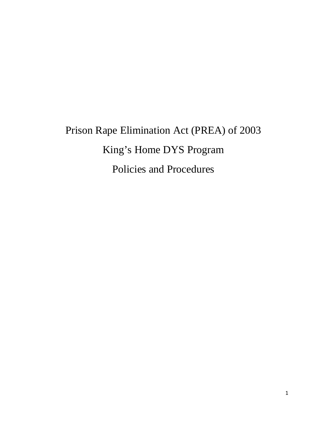# Prison Rape Elimination Act (PREA) of 2003 King's Home DYS Program Policies and Procedures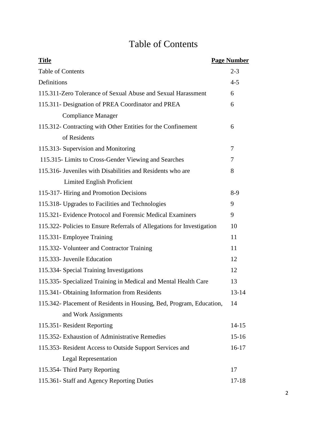# Table of Contents

| <b>Title</b>                                                           | <b>Page Number</b> |
|------------------------------------------------------------------------|--------------------|
| <b>Table of Contents</b>                                               | $2 - 3$            |
| Definitions                                                            | $4 - 5$            |
| 115.311-Zero Tolerance of Sexual Abuse and Sexual Harassment           | 6                  |
| 115.311- Designation of PREA Coordinator and PREA                      | 6                  |
| <b>Compliance Manager</b>                                              |                    |
| 115.312- Contracting with Other Entities for the Confinement           | 6                  |
| of Residents                                                           |                    |
| 115.313- Supervision and Monitoring                                    | 7                  |
| 115.315- Limits to Cross-Gender Viewing and Searches                   | 7                  |
| 115.316- Juveniles with Disabilities and Residents who are             | 8                  |
| <b>Limited English Proficient</b>                                      |                    |
| 115-317- Hiring and Promotion Decisions                                | $8-9$              |
| 115.318- Upgrades to Facilities and Technologies                       | 9                  |
| 115.321- Evidence Protocol and Forensic Medical Examiners              | 9                  |
| 115.322- Policies to Ensure Referrals of Allegations for Investigation | 10                 |
| 115.331- Employee Training                                             | 11                 |
| 115.332- Volunteer and Contractor Training                             | 11                 |
| 115.333- Juvenile Education                                            | 12                 |
| 115.334- Special Training Investigations                               | 12                 |
| 115.335- Specialized Training in Medical and Mental Health Care        | 13                 |
| 115.341- Obtaining Information from Residents                          | $13 - 14$          |
| 115.342- Placement of Residents in Housing, Bed, Program, Education,   | 14                 |
| and Work Assignments                                                   |                    |
| 115.351- Resident Reporting                                            | $14 - 15$          |
| 115.352- Exhaustion of Administrative Remedies                         | $15 - 16$          |
| 115.353- Resident Access to Outside Support Services and               | $16-17$            |
| <b>Legal Representation</b>                                            |                    |
| 115.354- Third Party Reporting                                         | 17                 |
| 115.361- Staff and Agency Reporting Duties                             | $17 - 18$          |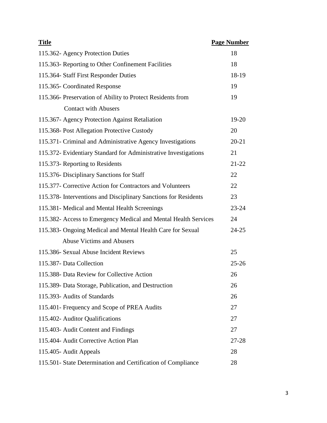| <b>Title</b>                                                    | <b>Page Number</b> |
|-----------------------------------------------------------------|--------------------|
| 115.362- Agency Protection Duties                               | 18                 |
| 115.363- Reporting to Other Confinement Facilities              | 18                 |
| 115.364- Staff First Responder Duties                           | 18-19              |
| 115.365- Coordinated Response                                   | 19                 |
| 115.366- Preservation of Ability to Protect Residents from      | 19                 |
| <b>Contact with Abusers</b>                                     |                    |
| 115.367- Agency Protection Against Retaliation                  | 19-20              |
| 115.368- Post Allegation Protective Custody                     | 20                 |
| 115.371- Criminal and Administrative Agency Investigations      | $20 - 21$          |
| 115.372- Evidentiary Standard for Administrative Investigations | 21                 |
| 115.373- Reporting to Residents                                 | $21 - 22$          |
| 115.376- Disciplinary Sanctions for Staff                       | 22                 |
| 115.377- Corrective Action for Contractors and Volunteers       | 22                 |
| 115.378- Interventions and Disciplinary Sanctions for Residents | 23                 |
| 115.381 - Medical and Mental Health Screenings                  | 23-24              |
| 115.382- Access to Emergency Medical and Mental Health Services | 24                 |
| 115.383- Ongoing Medical and Mental Health Care for Sexual      | $24 - 25$          |
| <b>Abuse Victims and Abusers</b>                                |                    |
| 115.386- Sexual Abuse Incident Reviews                          | 25                 |
| 115.387- Data Collection                                        | $25 - 26$          |
| 115.388- Data Review for Collective Action                      | 26                 |
| 115.389- Data Storage, Publication, and Destruction             | 26                 |
| 115.393- Audits of Standards                                    | 26                 |
| 115.401- Frequency and Scope of PREA Audits                     | 27                 |
| 115.402- Auditor Qualifications                                 | 27                 |
| 115.403- Audit Content and Findings                             | 27                 |
| 115.404- Audit Corrective Action Plan                           | 27-28              |
| 115.405- Audit Appeals                                          | 28                 |
| 115.501- State Determination and Certification of Compliance    | 28                 |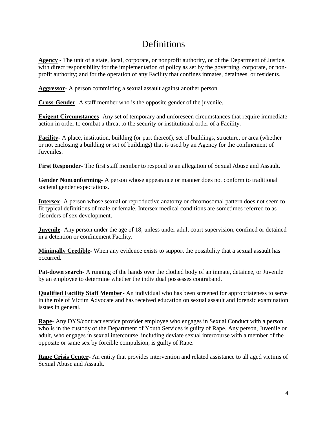## **Definitions**

**Agency** *-* The unit of a state, local, corporate, or nonprofit authority, or of the Department of Justice, with direct responsibility for the implementation of policy as set by the governing, corporate, or nonprofit authority; and for the operation of any Facility that confines inmates, detainees, or residents.

**Aggressor**- A person committing a sexual assault against another person.

**Cross-Gender**- A staff member who is the opposite gender of the juvenile.

**Exigent Circumstances**- Any set of temporary and unforeseen circumstances that require immediate action in order to combat a threat to the security or institutional order of a Facility.

**Facility**- A place, institution, building (or part thereof), set of buildings, structure, or area (whether or not enclosing a building or set of buildings) that is used by an Agency for the confinement of Juveniles.

**First Responder**- The first staff member to respond to an allegation of Sexual Abuse and Assault.

**Gender Nonconforming**- A person whose appearance or manner does not conform to traditional societal gender expectations.

**Intersex**- A person whose sexual or reproductive anatomy or chromosomal pattern does not seem to fit typical definitions of male or female. Intersex medical conditions are sometimes referred to as disorders of sex development.

**Juvenile**- Any person under the age of 18, unless under adult court supervision, confined or detained in a detention or confinement Facility.

**Minimally Credible**- When any evidence exists to support the possibility that a sexual assault has occurred.

**Pat-down search**- A running of the hands over the clothed body of an inmate, detainee, or Juvenile by an employee to determine whether the individual possesses contraband.

**Qualified Facility Staff Member**- An individual who has been screened for appropriateness to serve in the role of Victim Advocate and has received education on sexual assault and forensic examination issues in general.

**Rape**- Any DYS/contract service provider employee who engages in Sexual Conduct with a person who is in the custody of the Department of Youth Services is guilty of Rape. Any person, Juvenile or adult, who engages in sexual intercourse, including deviate sexual intercourse with a member of the opposite or same sex by forcible compulsion, is guilty of Rape.

**Rape Crisis Center**- An entity that provides intervention and related assistance to all aged victims of Sexual Abuse and Assault.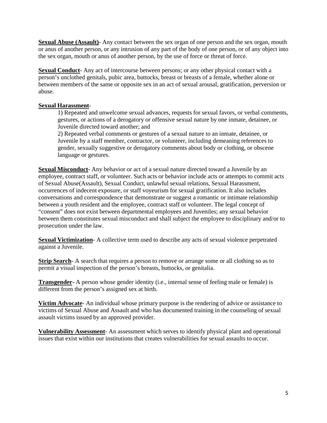**Sexual Abuse (Assault)**- Any contact between the sex organ of one person and the sex organ, mouth or anus of another person, or any intrusion of any part of the body of one person, or of any object into the sex organ, mouth or anus of another person, by the use of force or threat of force.

**Sexual Conduct**- Any act of intercourse between persons; or any other physical contact with a person's unclothed genitals, pubic area, buttocks, breast or breasts of a female, whether alone or between members of the same or opposite sex in an act of sexual arousal, gratification, perversion or abuse.

#### **Sexual Harassment**-

1) Repeated and unwelcome sexual advances, requests for sexual favors, or verbal comments, gestures, or actions of a derogatory or offensive sexual nature by one inmate, detainee, or Juvenile directed toward another; and

2) Repeated verbal comments or gestures of a sexual nature to an inmate, detainee, or Juvenile by a staff member, contractor, or volunteer, including demeaning references to gender, sexually suggestive or derogatory comments about body or clothing, or obscene language or gestures.

**Sexual Misconduct**- Any behavior or act of a sexual nature directed toward a Juvenile by an employee, contract staff, or volunteer. Such acts or behavior include acts or attempts to commit acts of Sexual Abuse(Assault), Sexual Conduct, unlawful sexual relations, Sexual Harassment, occurrences of indecent exposure, or staff voyeurism for sexual gratification. It also includes conversations and correspondence that demonstrate or suggest a romantic or intimate relationship between a youth resident and the employee, contract staff or volunteer. The legal concept of "consent" does not exist between departmental employees and Juveniles; any sexual behavior between them constitutes sexual misconduct and shall subject the employee to disciplinary and/or to prosecution under the law.

**Sexual Victimization**- A collective term used to describe any acts of sexual violence perpetrated against a Juvenile.

**Strip Search**- A search that requires a person to remove or arrange some or all clothing so as to permit a visual inspection of the person's breasts, buttocks, or genitalia.

**Transgender**- A person whose gender identity (i.e., internal sense of feeling male or female) is different from the person's assigned sex at birth.

**Victim Advocate**- An individual whose primary purpose is the rendering of advice or assistance to victims of Sexual Abuse and Assault and who has documented training in the counseling of sexual assault victims issued by an approved provider.

**Vulnerability Assessment**- An assessment which serves to identify physical plant and operational issues that exist within our institutions that creates vulnerabilities for sexual assaults to occur.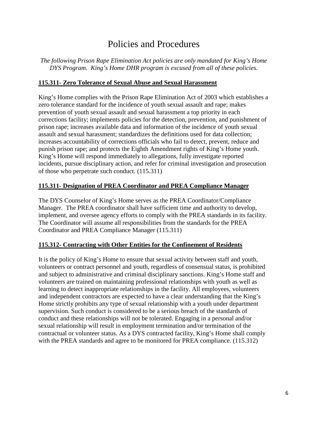## Policies and Procedures

*The following Prison Rape Elimination Act policies are only mandated for King's Home DYS Program. King's Home DHR program is excused from all of these policies.* 

#### **115.311- Zero Tolerance of Sexual Abuse and Sexual Harassment**

King's Home complies with the Prison Rape Elimination Act of 2003 which establishes a zero tolerance standard for the incidence of youth sexual assault and rape; makes prevention of youth sexual assault and sexual harassment a top priority in each corrections facility; implements policies for the detection, prevention, and punishment of prison rape; increases available data and information of the incidence of youth sexual assault and sexual harassment; standardizes the definitions used for data collection; increases accountability of corrections officials who fail to detect, prevent, reduce and punish prison rape; and protects the Eighth Amendment rights of King's Home youth. King's Home will respond immediately to allegations, fully investigate reported incidents, pursue disciplinary action, and refer for criminal investigation and prosecution of those who perpetrate such conduct. (115.311)

#### **115.311- Designation of PREA Coordinator and PREA Compliance Manager**

The DYS Counselor of King's Home serves as the PREA Coordinator/Compliance Manager. The PREA coordinator shall have sufficient time and authority to develop, implement, and oversee agency efforts to comply with the PREA standards in its facility. The Coordinator will assume all responsibilities from the standards for the PREA Coordinator and PREA Compliance Manager (115.311)

#### **115.312- Contracting with Other Entities for the Confinement of Residents**

It is the policy of King's Home to ensure that sexual activity between staff and youth, volunteers or contract personnel and youth, regardless of consensual status, is prohibited and subject to administrative and criminal disciplinary sanctions. King's Home staff and volunteers are trained on maintaining professional relationships with youth as well as learning to detect inappropriate relationships in the facility. All employees, volunteers and independent contractors are expected to have a clear understanding that the King's Home strictly prohibits any type of sexual relationship with a youth under department supervision. Such conduct is considered to be a serious breach of the standards of conduct and these relationships will not be tolerated. Engaging in a personal and/or sexual relationship will result in employment termination and/or termination of the contractual or volunteer status. As a DYS contracted facility, King's Home shall comply with the PREA standards and agree to be monitored for PREA compliance. (115.312)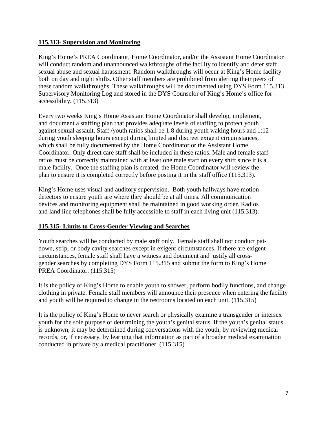#### **115.313- Supervision and Monitoring**

King's Home's PREA Coordinator, Home Coordinator, and/or the Assistant Home Coordinator will conduct random and unannounced walkthroughs of the facility to identify and deter staff sexual abuse and sexual harassment. Random walkthroughs will occur at King's Home facility both on day and night shifts. Other staff members are prohibited from alerting their peers of these random walkthroughs. These walkthroughs will be documented using DYS Form 115.313 Supervisory Monitoring Log and stored in the DYS Counselor of King's Home's office for accessibility. (115.313)

Every two weeks King's Home Assistant Home Coordinator shall develop, implement, and document a staffing plan that provides adequate levels of staffing to protect youth against sexual assault. Staff /youth ratios shall be 1:8 during youth waking hours and 1:12 during youth sleeping hours except during limited and discreet exigent circumstances, which shall be fully documented by the Home Coordinator or the Assistant Home Coordinator. Only direct care staff shall be included in these ratios. Male and female staff ratios must be correctly maintained with at least one male staff on every shift since it is a male facility. Once the staffing plan is created, the Home Coordinator will review the plan to ensure it is completed correctly before posting it in the staff office (115.313).

King's Home uses visual and auditory supervision. Both youth hallways have motion detectors to ensure youth are where they should be at all times. All communication devices and monitoring equipment shall be maintained in good working order. Radios and land line telephones shall be fully accessible to staff in each living unit (115.313).

#### **115.315- Limits to Cross-Gender Viewing and Searches**

Youth searches will be conducted by male staff only. Female staff shall not conduct patdown, strip, or body cavity searches except in exigent circumstances. If there are exigent circumstances, female staff shall have a witness and document and justify all crossgender searches by completing DYS Form 115.315 and submit the form to King's Home PREA Coordinator. (115.315)

It is the policy of King's Home to enable youth to shower, perform bodily functions, and change clothing in private. Female staff members will announce their presence when entering the facility and youth will be required to change in the restrooms located on each unit. (115.315)

It is the policy of King's Home to never search or physically examine a transgender or intersex youth for the sole purpose of determining the youth's genital status. If the youth's genital status is unknown, it may be determined during conversations with the youth, by reviewing medical records, or, if necessary, by learning that information as part of a broader medical examination conducted in private by a medical practitioner. (115.315)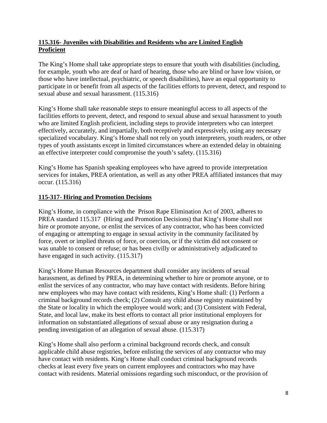#### **115.316- Juveniles with Disabilities and Residents who are Limited English Proficient**

The King's Home shall take appropriate steps to ensure that youth with disabilities (including, for example, youth who are deaf or hard of hearing, those who are blind or have low vision, or those who have intellectual, psychiatric, or speech disabilities), have an equal opportunity to participate in or benefit from all aspects of the facilities efforts to prevent, detect, and respond to sexual abuse and sexual harassment. (115.316)

King's Home shall take reasonable steps to ensure meaningful access to all aspects of the facilities efforts to prevent, detect, and respond to sexual abuse and sexual harassment to youth who are limited English proficient, including steps to provide interpreters who can interpret effectively, accurately, and impartially, both receptively and expressively, using any necessary specialized vocabulary. King's Home shall not rely on youth interpreters, youth readers, or other types of youth assistants except in limited circumstances where an extended delay in obtaining an effective interpreter could compromise the youth's safety. (115.316)

King's Home has Spanish speaking employees who have agreed to provide interpretation services for intakes, PREA orientation, as well as any other PREA affiliated instances that may occur. (115.316)

#### **115-317- Hiring and Promotion Decisions**

King's Home, in compliance with the Prison Rape Elimination Act of 2003, adheres to PREA standard 115.317 (Hiring and Promotion Decisions) that King's Home shall not hire or promote anyone, or enlist the services of any contractor, who has been convicted of engaging or attempting to engage in sexual activity in the community facilitated by force, overt or implied threats of force, or coercion, or if the victim did not consent or was unable to consent or refuse; or has been civilly or administratively adjudicated to have engaged in such activity. (115.317)

King's Home Human Resources department shall consider any incidents of sexual harassment, as defined by PREA, in determining whether to hire or promote anyone, or to enlist the services of any contractor, who may have contact with residents. Before hiring new employees who may have contact with residents, King's Home shall: (1) Perform a criminal background records check; (2) Consult any child abuse registry maintained by the State or locality in which the employee would work; and (3) Consistent with Federal, State, and local law, make its best efforts to contact all prior institutional employers for information on substantiated allegations of sexual abuse or any resignation during a pending investigation of an allegation of sexual abuse. (115.317)

King's Home shall also perform a criminal background records check, and consult applicable child abuse registries, before enlisting the services of any contractor who may have contact with residents. King's Home shall conduct criminal background records checks at least every five years on current employees and contractors who may have contact with residents. Material omissions regarding such misconduct, or the provision of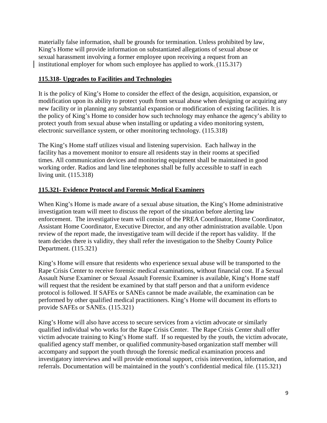materially false information, shall be grounds for termination. Unless prohibited by law, King's Home will provide information on substantiated allegations of sexual abuse or sexual harassment involving a former employee upon receiving a request from an institutional employer for whom such employee has applied to work. (115.317)

#### **115.318- Upgrades to Facilities and Technologies**

It is the policy of King's Home to consider the effect of the design, acquisition, expansion, or modification upon its ability to protect youth from sexual abuse when designing or acquiring any new facility or in planning any substantial expansion or modification of existing facilities. It is the policy of King's Home to consider how such technology may enhance the agency's ability to protect youth from sexual abuse when installing or updating a video monitoring system, electronic surveillance system, or other monitoring technology. (115.318)

The King's Home staff utilizes visual and listening supervision. Each hallway in the facility has a movement monitor to ensure all residents stay in their rooms at specified times. All communication devices and monitoring equipment shall be maintained in good working order. Radios and land line telephones shall be fully accessible to staff in each living unit. (115.318)

#### **115.321- Evidence Protocol and Forensic Medical Examiners**

When King's Home is made aware of a sexual abuse situation, the King's Home administrative investigation team will meet to discuss the report of the situation before alerting law enforcement. The investigative team will consist of the PREA Coordinator, Home Coordinator, Assistant Home Coordinator, Executive Director, and any other administration available. Upon review of the report made, the investigative team will decide if the report has validity. If the team decides there is validity, they shall refer the investigation to the Shelby County Police Department. (115.321)

King's Home will ensure that residents who experience sexual abuse will be transported to the Rape Crisis Center to receive forensic medical examinations, without financial cost. If a Sexual Assault Nurse Examiner or Sexual Assault Forensic Examiner is available, King's Home staff will request that the resident be examined by that staff person and that a uniform evidence protocol is followed. If SAFEs or SANEs cannot be made available, the examination can be performed by other qualified medical practitioners. King's Home will document its efforts to provide SAFEs or SANEs. (115.321)

King's Home will also have access to secure services from a victim advocate or similarly qualified individual who works for the Rape Crisis Center. The Rape Crisis Center shall offer victim advocate training to King's Home staff. If so requested by the youth, the victim advocate, qualified agency staff member, or qualified community-based organization staff member will accompany and support the youth through the forensic medical examination process and investigatory interviews and will provide emotional support, crisis intervention, information, and referrals. Documentation will be maintained in the youth's confidential medical file. (115.321)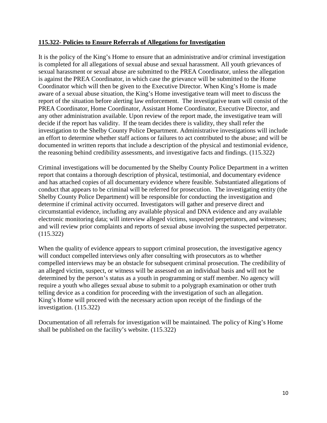#### **115.322- Policies to Ensure Referrals of Allegations for Investigation**

It is the policy of the King's Home to ensure that an administrative and/or criminal investigation is completed for all allegations of sexual abuse and sexual harassment. All youth grievances of sexual harassment or sexual abuse are submitted to the PREA Coordinator, unless the allegation is against the PREA Coordinator, in which case the grievance will be submitted to the Home Coordinator which will then be given to the Executive Director. When King's Home is made aware of a sexual abuse situation, the King's Home investigative team will meet to discuss the report of the situation before alerting law enforcement. The investigative team will consist of the PREA Coordinator, Home Coordinator, Assistant Home Coordinator, Executive Director, and any other administration available. Upon review of the report made, the investigative team will decide if the report has validity. If the team decides there is validity, they shall refer the investigation to the Shelby County Police Department. Administrative investigations will include an effort to determine whether staff actions or failures to act contributed to the abuse; and will be documented in written reports that include a description of the physical and testimonial evidence, the reasoning behind credibility assessments, and investigative facts and findings. (115.322)

Criminal investigations will be documented by the Shelby County Police Department in a written report that contains a thorough description of physical, testimonial, and documentary evidence and has attached copies of all documentary evidence where feasible. Substantiated allegations of conduct that appears to be criminal will be referred for prosecution. The investigating entity (the Shelby County Police Department) will be responsible for conducting the investigation and determine if criminal activity occurred. Investigators will gather and preserve direct and circumstantial evidence, including any available physical and DNA evidence and any available electronic monitoring data; will interview alleged victims, suspected perpetrators, and witnesses; and will review prior complaints and reports of sexual abuse involving the suspected perpetrator. (115.322)

When the quality of evidence appears to support criminal prosecution, the investigative agency will conduct compelled interviews only after consulting with prosecutors as to whether compelled interviews may be an obstacle for subsequent criminal prosecution. The credibility of an alleged victim, suspect, or witness will be assessed on an individual basis and will not be determined by the person's status as a youth in programming or staff member. No agency will require a youth who alleges sexual abuse to submit to a polygraph examination or other truth telling device as a condition for proceeding with the investigation of such an allegation. King's Home will proceed with the necessary action upon receipt of the findings of the investigation. (115.322)

Documentation of all referrals for investigation will be maintained. The policy of King's Home shall be published on the facility's website. (115.322)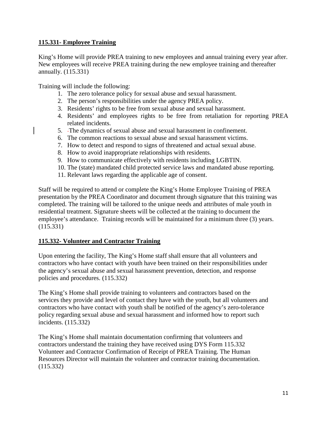#### **115.331- Employee Training**

King's Home will provide PREA training to new employees and annual training every year after. New employees will receive PREA training during the new employee training and thereafter annually. (115.331)

Training will include the following:

- 1. The zero tolerance policy for sexual abuse and sexual harassment.
- 2. The person's responsibilities under the agency PREA policy.
- 3. Residents' rights to be free from sexual abuse and sexual harassment.
- 4. Residents' and employees rights to be free from retaliation for reporting PREA related incidents.
- 5. The dynamics of sexual abuse and sexual harassment in confinement.
- 6. The common reactions to sexual abuse and sexual harassment victims.
- 7. How to detect and respond to signs of threatened and actual sexual abuse.
- 8. How to avoid inappropriate relationships with residents.
- 9. How to communicate effectively with residents including LGBTIN.
- 10. The (state) mandated child protected service laws and mandated abuse reporting.
- 11. Relevant laws regarding the applicable age of consent.

Staff will be required to attend or complete the King's Home Employee Training of PREA presentation by the PREA Coordinator and document through signature that this training was completed. The training will be tailored to the unique needs and attributes of male youth in residential treatment. Signature sheets will be collected at the training to document the employee's attendance. Training records will be maintained for a minimum three (3) years. (115.331)

#### **115.332- Volunteer and Contractor Training**

Upon entering the facility, The King's Home staff shall ensure that all volunteers and contractors who have contact with youth have been trained on their responsibilities under the agency's sexual abuse and sexual harassment prevention, detection, and response policies and procedures. (115.332)

The King's Home shall provide training to volunteers and contractors based on the services they provide and level of contact they have with the youth, but all volunteers and contractors who have contact with youth shall be notified of the agency's zero-tolerance policy regarding sexual abuse and sexual harassment and informed how to report such incidents. (115.332)

The King's Home shall maintain documentation confirming that volunteers and contractors understand the training they have received using DYS Form 115.332 Volunteer and Contractor Confirmation of Receipt of PREA Training. The Human Resources Director will maintain the volunteer and contractor training documentation. (115.332)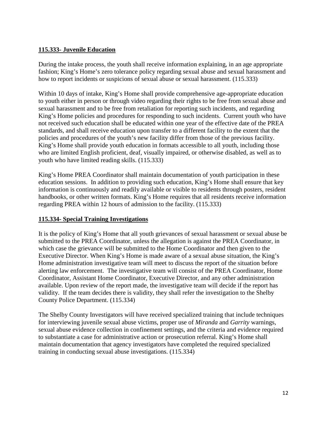#### **115.333- Juvenile Education**

During the intake process, the youth shall receive information explaining, in an age appropriate fashion; King's Home's zero tolerance policy regarding sexual abuse and sexual harassment and how to report incidents or suspicions of sexual abuse or sexual harassment. (115.333)

Within 10 days of intake, King's Home shall provide comprehensive age-appropriate education to youth either in person or through video regarding their rights to be free from sexual abuse and sexual harassment and to be free from retaliation for reporting such incidents, and regarding King's Home policies and procedures for responding to such incidents. Current youth who have not received such education shall be educated within one year of the effective date of the PREA standards, and shall receive education upon transfer to a different facility to the extent that the policies and procedures of the youth's new facility differ from those of the previous facility. King's Home shall provide youth education in formats accessible to all youth, including those who are limited English proficient, deaf, visually impaired, or otherwise disabled, as well as to youth who have limited reading skills. (115.333)

King's Home PREA Coordinator shall maintain documentation of youth participation in these education sessions. In addition to providing such education, King's Home shall ensure that key information is continuously and readily available or visible to residents through posters, resident handbooks, or other written formats. King's Home requires that all residents receive information regarding PREA within 12 hours of admission to the facility. (115.333)

#### **115.334- Special Training Investigations**

It is the policy of King's Home that all youth grievances of sexual harassment or sexual abuse be submitted to the PREA Coordinator, unless the allegation is against the PREA Coordinator, in which case the grievance will be submitted to the Home Coordinator and then given to the Executive Director. When King's Home is made aware of a sexual abuse situation, the King's Home administration investigative team will meet to discuss the report of the situation before alerting law enforcement. The investigative team will consist of the PREA Coordinator, Home Coordinator, Assistant Home Coordinator, Executive Director, and any other administration available. Upon review of the report made, the investigative team will decide if the report has validity. If the team decides there is validity, they shall refer the investigation to the Shelby County Police Department. (115.334)

The Shelby County Investigators will have received specialized training that include techniques for interviewing juvenile sexual abuse victims, proper use of *Miranda* and *Garrity* warnings, sexual abuse evidence collection in confinement settings, and the criteria and evidence required to substantiate a case for administrative action or prosecution referral. King's Home shall maintain documentation that agency investigators have completed the required specialized training in conducting sexual abuse investigations. (115.334)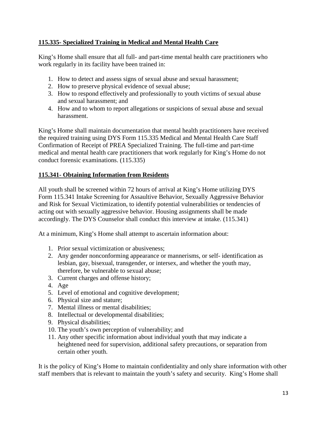#### **115.335- Specialized Training in Medical and Mental Health Care**

King's Home shall ensure that all full- and part-time mental health care practitioners who work regularly in its facility have been trained in:

- 1. How to detect and assess signs of sexual abuse and sexual harassment;
- 2. How to preserve physical evidence of sexual abuse;
- 3. How to respond effectively and professionally to youth victims of sexual abuse and sexual harassment; and
- 4. How and to whom to report allegations or suspicions of sexual abuse and sexual harassment.

King's Home shall maintain documentation that mental health practitioners have received the required training using DYS Form 115.335 Medical and Mental Health Care Staff Confirmation of Receipt of PREA Specialized Training. The full-time and part-time medical and mental health care practitioners that work regularly for King's Home do not conduct forensic examinations. (115.335)

#### **115.341- Obtaining Information from Residents**

All youth shall be screened within 72 hours of arrival at King's Home utilizing DYS Form 115.341 Intake Screening for Assaultive Behavior, Sexually Aggressive Behavior and Risk for Sexual Victimization, to identify potential vulnerabilities or tendencies of acting out with sexually aggressive behavior. Housing assignments shall be made accordingly. The DYS Counselor shall conduct this interview at intake. (115.341)

At a minimum, King's Home shall attempt to ascertain information about:

- 1. Prior sexual victimization or abusiveness;
- 2. Any gender nonconforming appearance or mannerisms, or self- identification as lesbian, gay, bisexual, transgender, or intersex, and whether the youth may, therefore, be vulnerable to sexual abuse;
- 3. Current charges and offense history;
- 4. Age
- 5. Level of emotional and cognitive development;
- 6. Physical size and stature;
- 7. Mental illness or mental disabilities;
- 8. Intellectual or developmental disabilities;
- 9. Physical disabilities;
- 10. The youth's own perception of vulnerability; and
- 11. Any other specific information about individual youth that may indicate a heightened need for supervision, additional safety precautions, or separation from certain other youth.

It is the policy of King's Home to maintain confidentiality and only share information with other staff members that is relevant to maintain the youth's safety and security. King's Home shall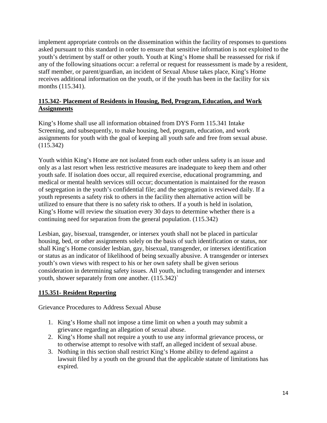implement appropriate controls on the dissemination within the facility of responses to questions asked pursuant to this standard in order to ensure that sensitive information is not exploited to the youth's detriment by staff or other youth. Youth at King's Home shall be reassessed for risk if any of the following situations occur: a referral or request for reassessment is made by a resident, staff member, or parent/guardian, an incident of Sexual Abuse takes place, King's Home receives additional information on the youth, or if the youth has been in the facility for six months (115.341).

#### **115.342- Placement of Residents in Housing, Bed, Program, Education, and Work Assignments**

King's Home shall use all information obtained from DYS Form 115.341 Intake Screening, and subsequently, to make housing, bed, program, education, and work assignments for youth with the goal of keeping all youth safe and free from sexual abuse. (115.342)

Youth within King's Home are not isolated from each other unless safety is an issue and only as a last resort when less restrictive measures are inadequate to keep them and other youth safe. If isolation does occur, all required exercise, educational programming, and medical or mental health services still occur; documentation is maintained for the reason of segregation in the youth's confidential file; and the segregation is reviewed daily. If a youth represents a safety risk to others in the facility then alternative action will be utilized to ensure that there is no safety risk to others. If a youth is held in isolation, King's Home will review the situation every 30 days to determine whether there is a continuing need for separation from the general population. (115.342)

Lesbian, gay, bisexual, transgender, or intersex youth shall not be placed in particular housing, bed, or other assignments solely on the basis of such identification or status, nor shall King's Home consider lesbian, gay, bisexual, transgender, or intersex identification or status as an indicator of likelihood of being sexually abusive. A transgender or intersex youth's own views with respect to his or her own safety shall be given serious consideration in determining safety issues. All youth, including transgender and intersex youth, shower separately from one another. (115.342)`

#### **115.351- Resident Reporting**

Grievance Procedures to Address Sexual Abuse

- 1. King's Home shall not impose a time limit on when a youth may submit a grievance regarding an allegation of sexual abuse.
- 2. King's Home shall not require a youth to use any informal grievance process, or to otherwise attempt to resolve with staff, an alleged incident of sexual abuse.
- 3. Nothing in this section shall restrict King's Home ability to defend against a lawsuit filed by a youth on the ground that the applicable statute of limitations has expired.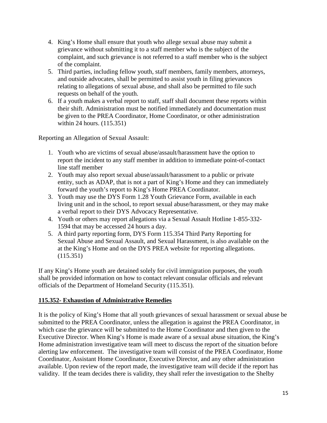- 4. King's Home shall ensure that youth who allege sexual abuse may submit a grievance without submitting it to a staff member who is the subject of the complaint, and such grievance is not referred to a staff member who is the subject of the complaint.
- 5. Third parties, including fellow youth, staff members, family members, attorneys, and outside advocates, shall be permitted to assist youth in filing grievances relating to allegations of sexual abuse, and shall also be permitted to file such requests on behalf of the youth.
- 6. If a youth makes a verbal report to staff, staff shall document these reports within their shift. Administration must be notified immediately and documentation must be given to the PREA Coordinator, Home Coordinator, or other administration within 24 hours. (115.351)

Reporting an Allegation of Sexual Assault:

- 1. Youth who are victims of sexual abuse/assault/harassment have the option to report the incident to any staff member in addition to immediate point-of-contact line staff member
- 2. Youth may also report sexual abuse/assault/harassment to a public or private entity, such as ADAP, that is not a part of King's Home and they can immediately forward the youth's report to King's Home PREA Coordinator.
- 3. Youth may use the DYS Form 1.28 Youth Grievance Form, available in each living unit and in the school, to report sexual abuse/harassment, or they may make a verbal report to their DYS Advocacy Representative.
- 4. Youth or others may report allegations via a Sexual Assault Hotline 1-855-332- 1594 that may be accessed 24 hours a day.
- 5. A third party reporting form, DYS Form 115.354 Third Party Reporting for Sexual Abuse and Sexual Assault, and Sexual Harassment, is also available on the at the King's Home and on the DYS PREA website for reporting allegations. (115.351)

If any King's Home youth are detained solely for civil immigration purposes, the youth shall be provided information on how to contact relevant consular officials and relevant officials of the Department of Homeland Security (115.351).

#### **115.352- Exhaustion of Administrative Remedies**

It is the policy of King's Home that all youth grievances of sexual harassment or sexual abuse be submitted to the PREA Coordinator, unless the allegation is against the PREA Coordinator, in which case the grievance will be submitted to the Home Coordinator and then given to the Executive Director. When King's Home is made aware of a sexual abuse situation, the King's Home administration investigative team will meet to discuss the report of the situation before alerting law enforcement. The investigative team will consist of the PREA Coordinator, Home Coordinator, Assistant Home Coordinator, Executive Director, and any other administration available. Upon review of the report made, the investigative team will decide if the report has validity. If the team decides there is validity, they shall refer the investigation to the Shelby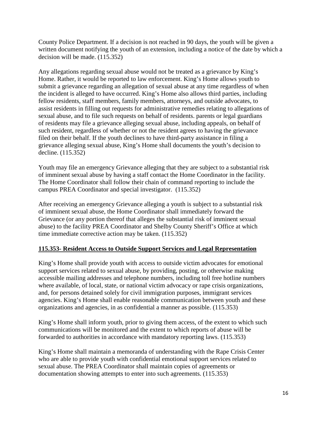County Police Department. If a decision is not reached in 90 days, the youth will be given a written document notifying the youth of an extension, including a notice of the date by which a decision will be made. (115.352)

Any allegations regarding sexual abuse would not be treated as a grievance by King's Home. Rather, it would be reported to law enforcement. King's Home allows youth to submit a grievance regarding an allegation of sexual abuse at any time regardless of when the incident is alleged to have occurred. King's Home also allows third parties, including fellow residents, staff members, family members, attorneys, and outside advocates, to assist residents in filling out requests for administrative remedies relating to allegations of sexual abuse, and to file such requests on behalf of residents. parents or legal guardians of residents may file a grievance alleging sexual abuse, including appeals, on behalf of such resident, regardless of whether or not the resident agrees to having the grievance filed on their behalf. If the youth declines to have third-party assistance in filing a grievance alleging sexual abuse, King's Home shall documents the youth's decision to decline. (115.352)

Youth may file an emergency Grievance alleging that they are subject to a substantial risk of imminent sexual abuse by having a staff contact the Home Coordinator in the facility. The Home Coordinator shall follow their chain of command reporting to include the campus PREA Coordinator and special investigator. (115.352)

After receiving an emergency Grievance alleging a youth is subject to a substantial risk of imminent sexual abuse, the Home Coordinator shall immediately forward the Grievance (or any portion thereof that alleges the substantial risk of imminent sexual abuse) to the facility PREA Coordinator and Shelby County Sheriff's Office at which time immediate corrective action may be taken. (115.352)

#### **115.353- Resident Access to Outside Support Services and Legal Representation**

King's Home shall provide youth with access to outside victim advocates for emotional support services related to sexual abuse, by providing, posting, or otherwise making accessible mailing addresses and telephone numbers, including toll free hotline numbers where available, of local, state, or national victim advocacy or rape crisis organizations, and, for persons detained solely for civil immigration purposes, immigrant services agencies. King's Home shall enable reasonable communication between youth and these organizations and agencies, in as confidential a manner as possible. (115.353)

King's Home shall inform youth, prior to giving them access, of the extent to which such communications will be monitored and the extent to which reports of abuse will be forwarded to authorities in accordance with mandatory reporting laws. (115.353)

King's Home shall maintain a memoranda of understanding with the Rape Crisis Center who are able to provide youth with confidential emotional support services related to sexual abuse. The PREA Coordinator shall maintain copies of agreements or documentation showing attempts to enter into such agreements. (115.353)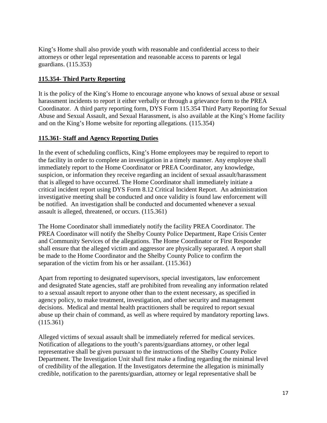King's Home shall also provide youth with reasonable and confidential access to their attorneys or other legal representation and reasonable access to parents or legal guardians. (115.353)

#### **115.354- Third Party Reporting**

It is the policy of the King's Home to encourage anyone who knows of sexual abuse or sexual harassment incidents to report it either verbally or through a grievance form to the PREA Coordinator. A third party reporting form, DYS Form 115.354 Third Party Reporting for Sexual Abuse and Sexual Assault, and Sexual Harassment, is also available at the King's Home facility and on the King's Home website for reporting allegations. (115.354)

#### **115.361- Staff and Agency Reporting Duties**

In the event of scheduling conflicts, King's Home employees may be required to report to the facility in order to complete an investigation in a timely manner. Any employee shall immediately report to the Home Coordinator or PREA Coordinator, any knowledge, suspicion, or information they receive regarding an incident of sexual assault/harassment that is alleged to have occurred. The Home Coordinator shall immediately initiate a critical incident report using DYS Form 8.12 Critical Incident Report. An administration investigative meeting shall be conducted and once validity is found law enforcement will be notified. An investigation shall be conducted and documented whenever a sexual assault is alleged, threatened, or occurs. (115.361)

The Home Coordinator shall immediately notify the facility PREA Coordinator. The PREA Coordinator will notify the Shelby County Police Department, Rape Crisis Center and Community Services of the allegations. The Home Coordinator or First Responder shall ensure that the alleged victim and aggressor are physically separated. A report shall be made to the Home Coordinator and the Shelby County Police to confirm the separation of the victim from his or her assailant. (115.361)

Apart from reporting to designated supervisors, special investigators, law enforcement and designated State agencies, staff are prohibited from revealing any information related to a sexual assault report to anyone other than to the extent necessary, as specified in agency policy, to make treatment, investigation, and other security and management decisions. Medical and mental health practitioners shall be required to report sexual abuse up their chain of command, as well as where required by mandatory reporting laws. (115.361)

Alleged victims of sexual assault shall be immediately referred for medical services. Notification of allegations to the youth's parents/guardians attorney, or other legal representative shall be given pursuant to the instructions of the Shelby County Police Department. The Investigation Unit shall first make a finding regarding the minimal level of credibility of the allegation. If the Investigators determine the allegation is minimally credible, notification to the parents/guardian, attorney or legal representative shall be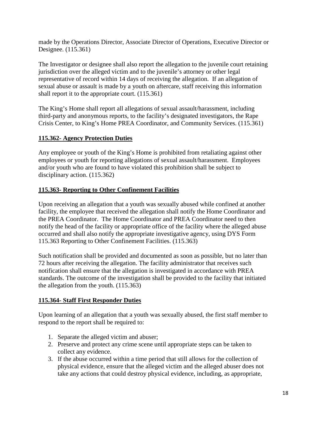made by the Operations Director, Associate Director of Operations, Executive Director or Designee. (115.361)

The Investigator or designee shall also report the allegation to the juvenile court retaining jurisdiction over the alleged victim and to the juvenile's attorney or other legal representative of record within 14 days of receiving the allegation. If an allegation of sexual abuse or assault is made by a youth on aftercare, staff receiving this information shall report it to the appropriate court. (115.361)

The King's Home shall report all allegations of sexual assault/harassment, including third-party and anonymous reports, to the facility's designated investigators, the Rape Crisis Center, to King's Home PREA Coordinator, and Community Services. (115.361)

#### **115.362- Agency Protection Duties**

Any employee or youth of the King's Home is prohibited from retaliating against other employees or youth for reporting allegations of sexual assault/harassment. Employees and/or youth who are found to have violated this prohibition shall be subject to disciplinary action. (115.362)

#### **115.363- Reporting to Other Confinement Facilities**

Upon receiving an allegation that a youth was sexually abused while confined at another facility, the employee that received the allegation shall notify the Home Coordinator and the PREA Coordinator. The Home Coordinator and PREA Coordinator need to then notify the head of the facility or appropriate office of the facility where the alleged abuse occurred and shall also notify the appropriate investigative agency, using DYS Form 115.363 Reporting to Other Confinement Facilities. (115.363)

Such notification shall be provided and documented as soon as possible, but no later than 72 hours after receiving the allegation. The facility administrator that receives such notification shall ensure that the allegation is investigated in accordance with PREA standards. The outcome of the investigation shall be provided to the facility that initiated the allegation from the youth. (115.363)

#### **115.364- Staff First Responder Duties**

Upon learning of an allegation that a youth was sexually abused, the first staff member to respond to the report shall be required to:

- 1. Separate the alleged victim and abuser;
- 2. Preserve and protect any crime scene until appropriate steps can be taken to collect any evidence.
- 3. If the abuse occurred within a time period that still allows for the collection of physical evidence, ensure that the alleged victim and the alleged abuser does not take any actions that could destroy physical evidence, including, as appropriate,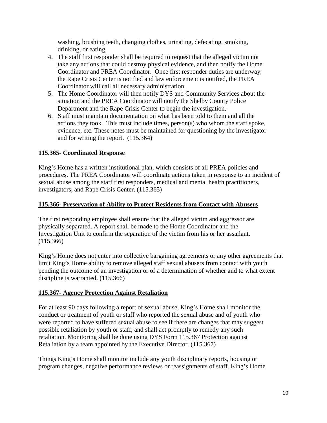washing, brushing teeth, changing clothes, urinating, defecating, smoking, drinking, or eating.

- 4. The staff first responder shall be required to request that the alleged victim not take any actions that could destroy physical evidence, and then notify the Home Coordinator and PREA Coordinator. Once first responder duties are underway, the Rape Crisis Center is notified and law enforcement is notified, the PREA Coordinator will call all necessary administration.
- 5. The Home Coordinator will then notify DYS and Community Services about the situation and the PREA Coordinator will notify the Shelby County Police Department and the Rape Crisis Center to begin the investigation.
- 6. Staff must maintain documentation on what has been told to them and all the actions they took. This must include times, person(s) who whom the staff spoke, evidence, etc. These notes must be maintained for questioning by the investigator and for writing the report. (115.364)

#### **115.365- Coordinated Response**

King's Home has a written institutional plan, which consists of all PREA policies and procedures. The PREA Coordinator will coordinate actions taken in response to an incident of sexual abuse among the staff first responders, medical and mental health practitioners, investigators, and Rape Crisis Center. (115.365)

#### **115.366- Preservation of Ability to Protect Residents from Contact with Abusers**

The first responding employee shall ensure that the alleged victim and aggressor are physically separated. A report shall be made to the Home Coordinator and the Investigation Unit to confirm the separation of the victim from his or her assailant. (115.366)

King's Home does not enter into collective bargaining agreements or any other agreements that limit King's Home ability to remove alleged staff sexual abusers from contact with youth pending the outcome of an investigation or of a determination of whether and to what extent discipline is warranted. (115.366)

#### **115.367- Agency Protection Against Retaliation**

For at least 90 days following a report of sexual abuse, King's Home shall monitor the conduct or treatment of youth or staff who reported the sexual abuse and of youth who were reported to have suffered sexual abuse to see if there are changes that may suggest possible retaliation by youth or staff, and shall act promptly to remedy any such retaliation. Monitoring shall be done using DYS Form 115.367 Protection against Retaliation by a team appointed by the Executive Director. (115.367)

Things King's Home shall monitor include any youth disciplinary reports, housing or program changes, negative performance reviews or reassignments of staff. King's Home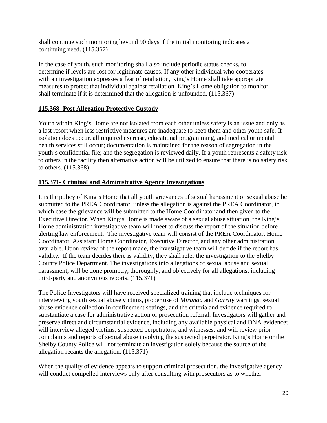shall continue such monitoring beyond 90 days if the initial monitoring indicates a continuing need. (115.367)

In the case of youth, such monitoring shall also include periodic status checks, to determine if levels are lost for legitimate causes. If any other individual who cooperates with an investigation expresses a fear of retaliation, King's Home shall take appropriate measures to protect that individual against retaliation. King's Home obligation to monitor shall terminate if it is determined that the allegation is unfounded. (115.367)

#### **115.368- Post Allegation Protective Custody**

Youth within King's Home are not isolated from each other unless safety is an issue and only as a last resort when less restrictive measures are inadequate to keep them and other youth safe. If isolation does occur, all required exercise, educational programming, and medical or mental health services still occur; documentation is maintained for the reason of segregation in the youth's confidential file; and the segregation is reviewed daily. If a youth represents a safety risk to others in the facility then alternative action will be utilized to ensure that there is no safety risk to others. (115.368)

#### **115.371- Criminal and Administrative Agency Investigations**

It is the policy of King's Home that all youth grievances of sexual harassment or sexual abuse be submitted to the PREA Coordinator, unless the allegation is against the PREA Coordinator, in which case the grievance will be submitted to the Home Coordinator and then given to the Executive Director. When King's Home is made aware of a sexual abuse situation, the King's Home administration investigative team will meet to discuss the report of the situation before alerting law enforcement. The investigative team will consist of the PREA Coordinator, Home Coordinator, Assistant Home Coordinator, Executive Director, and any other administration available. Upon review of the report made, the investigative team will decide if the report has validity. If the team decides there is validity, they shall refer the investigation to the Shelby County Police Department. The investigations into allegations of sexual abuse and sexual harassment, will be done promptly, thoroughly, and objectively for all allegations, including third-party and anonymous reports. (115.371)

The Police Investigators will have received specialized training that include techniques for interviewing youth sexual abuse victims, proper use of *Miranda* and *Garrity* warnings, sexual abuse evidence collection in confinement settings, and the criteria and evidence required to substantiate a case for administrative action or prosecution referral. Investigators will gather and preserve direct and circumstantial evidence, including any available physical and DNA evidence; will interview alleged victims, suspected perpetrators, and witnesses; and will review prior complaints and reports of sexual abuse involving the suspected perpetrator. King's Home or the Shelby County Police will not terminate an investigation solely because the source of the allegation recants the allegation. (115.371)

When the quality of evidence appears to support criminal prosecution, the investigative agency will conduct compelled interviews only after consulting with prosecutors as to whether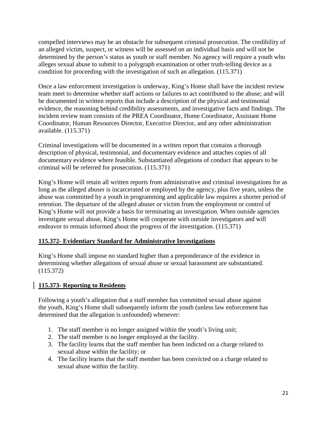compelled interviews may be an obstacle for subsequent criminal prosecution. The credibility of an alleged victim, suspect, or witness will be assessed on an individual basis and will not be determined by the person's status as youth or staff member. No agency will require a youth who alleges sexual abuse to submit to a polygraph examination or other truth-telling device as a condition for proceeding with the investigation of such an allegation. (115.371)

Once a law enforcement investigation is underway, King's Home shall have the incident review team meet to determine whether staff actions or failures to act contributed to the abuse; and will be documented in written reports that include a description of the physical and testimonial evidence, the reasoning behind credibility assessments, and investigative facts and findings. The incident review team consists of the PREA Coordinator, Home Coordinator, Assistant Home Coordinator, Human Resources Director, Executive Director, and any other administration available. (115.371)

Criminal investigations will be documented in a written report that contains a thorough description of physical, testimonial, and documentary evidence and attaches copies of all documentary evidence where feasible. Substantiated allegations of conduct that appears to be criminal will be referred for prosecution. (115.371)

King's Home will retain all written reports from administrative and criminal investigations for as long as the alleged abuser is incarcerated or employed by the agency, plus five years, unless the abuse was committed by a youth in programming and applicable law requires a shorter period of retention. The departure of the alleged abuser or victim from the employment or control of King's Home will not provide a basis for terminating an investigation. When outside agencies investigate sexual abuse, King's Home will cooperate with outside investigators and will endeavor to remain informed about the progress of the investigation. (115.371)

#### **115.372- Evidentiary Standard for Administrative Investigations**

King's Home shall impose no standard higher than a preponderance of the evidence in determining whether allegations of sexual abuse or sexual harassment are substantiated. (115.372)

#### **115.373- Reporting to Residents**

Following a youth's allegation that a staff member has committed sexual abuse against the youth, King's Home shall subsequently inform the youth (unless law enforcement has determined that the allegation is unfounded) whenever:

- 1. The staff member is no longer assigned within the youth's living unit;
- 2. The staff member is no longer employed at the facility.
- 3. The facility learns that the staff member has been indicted on a charge related to sexual abuse within the facility; or
- 4. The facility learns that the staff member has been convicted on a charge related to sexual abuse within the facility.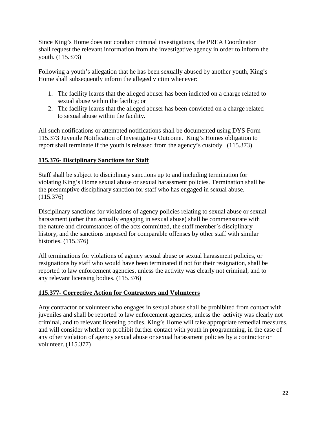Since King's Home does not conduct criminal investigations, the PREA Coordinator shall request the relevant information from the investigative agency in order to inform the youth. (115.373)

Following a youth's allegation that he has been sexually abused by another youth, King's Home shall subsequently inform the alleged victim whenever:

- 1. The facility learns that the alleged abuser has been indicted on a charge related to sexual abuse within the facility; or
- 2. The facility learns that the alleged abuser has been convicted on a charge related to sexual abuse within the facility.

All such notifications or attempted notifications shall be documented using DYS Form 115.373 Juvenile Notification of Investigative Outcome. King's Homes obligation to report shall terminate if the youth is released from the agency's custody. (115.373)

#### **115.376- Disciplinary Sanctions for Staff**

Staff shall be subject to disciplinary sanctions up to and including termination for violating King's Home sexual abuse or sexual harassment policies. Termination shall be the presumptive disciplinary sanction for staff who has engaged in sexual abuse. (115.376)

Disciplinary sanctions for violations of agency policies relating to sexual abuse or sexual harassment (other than actually engaging in sexual abuse) shall be commensurate with the nature and circumstances of the acts committed, the staff member's disciplinary history, and the sanctions imposed for comparable offenses by other staff with similar histories. (115.376)

All terminations for violations of agency sexual abuse or sexual harassment policies, or resignations by staff who would have been terminated if not for their resignation, shall be reported to law enforcement agencies, unless the activity was clearly not criminal, and to any relevant licensing bodies. (115.376)

#### **115.377- Corrective Action for Contractors and Volunteers**

Any contractor or volunteer who engages in sexual abuse shall be prohibited from contact with juveniles and shall be reported to law enforcement agencies, unless the activity was clearly not criminal, and to relevant licensing bodies. King's Home will take appropriate remedial measures, and will consider whether to prohibit further contact with youth in programming, in the case of any other violation of agency sexual abuse or sexual harassment policies by a contractor or volunteer. (115.377)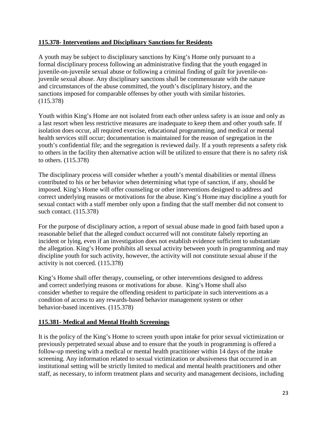#### **115.378- Interventions and Disciplinary Sanctions for Residents**

A youth may be subject to disciplinary sanctions by King's Home only pursuant to a formal disciplinary process following an administrative finding that the youth engaged in juvenile-on-juvenile sexual abuse or following a criminal finding of guilt for juvenile-onjuvenile sexual abuse. Any disciplinary sanctions shall be commensurate with the nature and circumstances of the abuse committed, the youth's disciplinary history, and the sanctions imposed for comparable offenses by other youth with similar histories. (115.378)

Youth within King's Home are not isolated from each other unless safety is an issue and only as a last resort when less restrictive measures are inadequate to keep them and other youth safe. If isolation does occur, all required exercise, educational programming, and medical or mental health services still occur; documentation is maintained for the reason of segregation in the youth's confidential file; and the segregation is reviewed daily. If a youth represents a safety risk to others in the facility then alternative action will be utilized to ensure that there is no safety risk to others. (115.378)

The disciplinary process will consider whether a youth's mental disabilities or mental illness contributed to his or her behavior when determining what type of sanction, if any, should be imposed. King's Home will offer counseling or other interventions designed to address and correct underlying reasons or motivations for the abuse. King's Home may discipline a youth for sexual contact with a staff member only upon a finding that the staff member did not consent to such contact. (115.378)

For the purpose of disciplinary action, a report of sexual abuse made in good faith based upon a reasonable belief that the alleged conduct occurred will not constitute falsely reporting an incident or lying, even if an investigation does not establish evidence sufficient to substantiate the allegation. King's Home prohibits all sexual activity between youth in programming and may discipline youth for such activity, however, the activity will not constitute sexual abuse if the activity is not coerced. (115.378)

King's Home shall offer therapy, counseling, or other interventions designed to address and correct underlying reasons or motivations for abuse. King's Home shall also consider whether to require the offending resident to participate in such interventions as a condition of access to any rewards-based behavior management system or other behavior-based incentives. (115.378)

#### **115.381- Medical and Mental Health Screenings**

It is the policy of the King's Home to screen youth upon intake for prior sexual victimization or previously perpetrated sexual abuse and to ensure that the youth in programming is offered a follow-up meeting with a medical or mental health practitioner within 14 days of the intake screening. Any information related to sexual victimization or abusiveness that occurred in an institutional setting will be strictly limited to medical and mental health practitioners and other staff, as necessary, to inform treatment plans and security and management decisions, including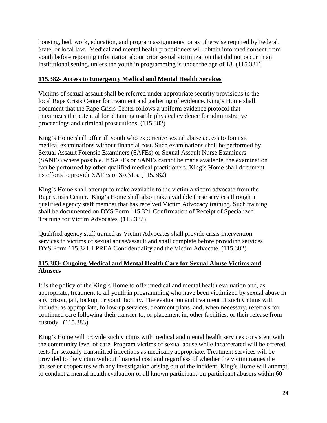housing, bed, work, education, and program assignments, or as otherwise required by Federal, State, or local law. Medical and mental health practitioners will obtain informed consent from youth before reporting information about prior sexual victimization that did not occur in an institutional setting, unless the youth in programming is under the age of 18. (115.381)

#### **115.382- Access to Emergency Medical and Mental Health Services**

Victims of sexual assault shall be referred under appropriate security provisions to the local Rape Crisis Center for treatment and gathering of evidence. King's Home shall document that the Rape Crisis Center follows a uniform evidence protocol that maximizes the potential for obtaining usable physical evidence for administrative proceedings and criminal prosecutions. (115.382)

King's Home shall offer all youth who experience sexual abuse access to forensic medical examinations without financial cost. Such examinations shall be performed by Sexual Assault Forensic Examiners (SAFEs) or Sexual Assault Nurse Examiners (SANEs) where possible. If SAFEs or SANEs cannot be made available, the examination can be performed by other qualified medical practitioners. King's Home shall document its efforts to provide SAFEs or SANEs. (115.382)

King's Home shall attempt to make available to the victim a victim advocate from the Rape Crisis Center. King's Home shall also make available these services through a qualified agency staff member that has received Victim Advocacy training. Such training shall be documented on DYS Form 115.321 Confirmation of Receipt of Specialized Training for Victim Advocates*.* (115.382)

Qualified agency staff trained as Victim Advocates shall provide crisis intervention services to victims of sexual abuse/assault and shall complete before providing services DYS Form 115.321.1 PREA Confidentiality and the Victim Advocate. (115.382)

#### **115.383- Ongoing Medical and Mental Health Care for Sexual Abuse Victims and Abusers**

It is the policy of the King's Home to offer medical and mental health evaluation and, as appropriate, treatment to all youth in programming who have been victimized by sexual abuse in any prison, jail, lockup, or youth facility. The evaluation and treatment of such victims will include, as appropriate, follow-up services, treatment plans, and, when necessary, referrals for continued care following their transfer to, or placement in, other facilities, or their release from custody. (115.383)

King's Home will provide such victims with medical and mental health services consistent with the community level of care. Program victims of sexual abuse while incarcerated will be offered tests for sexually transmitted infections as medically appropriate. Treatment services will be provided to the victim without financial cost and regardless of whether the victim names the abuser or cooperates with any investigation arising out of the incident. King's Home will attempt to conduct a mental health evaluation of all known participant-on-participant abusers within 60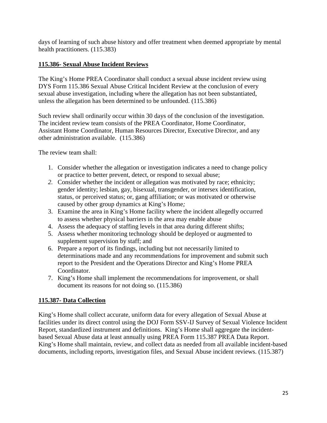days of learning of such abuse history and offer treatment when deemed appropriate by mental health practitioners. (115.383)

#### **115.386- Sexual Abuse Incident Reviews**

The King's Home PREA Coordinator shall conduct a sexual abuse incident review using DYS Form 115.386 Sexual Abuse Critical Incident Review at the conclusion of every sexual abuse investigation, including where the allegation has not been substantiated, unless the allegation has been determined to be unfounded. (115.386)

Such review shall ordinarily occur within 30 days of the conclusion of the investigation. The incident review team consists of the PREA Coordinator, Home Coordinator, Assistant Home Coordinator, Human Resources Director, Executive Director, and any other administration available. (115.386)

The review team shall:

- 1. Consider whether the allegation or investigation indicates a need to change policy or practice to better prevent, detect, or respond to sexual abuse;
- *2.* Consider whether the incident or allegation was motivated by race; ethnicity; gender identity; lesbian, gay, bisexual, transgender, or intersex identification, status, or perceived status; or, gang affiliation; or was motivated or otherwise caused by other group dynamics at King's Home*;*
- 3. Examine the area in King's Home facility where the incident allegedly occurred to assess whether physical barriers in the area may enable abuse
- 4. Assess the adequacy of staffing levels in that area during different shifts;
- 5. Assess whether monitoring technology should be deployed or augmented to supplement supervision by staff; and
- 6. Prepare a report of its findings, including but not necessarily limited to determinations made and any recommendations for improvement and submit such report to the President and the Operations Director and King's Home PREA Coordinator.
- 7. King's Home shall implement the recommendations for improvement, or shall document its reasons for not doing so. (115.386)

#### **115.387- Data Collection**

King's Home shall collect accurate, uniform data for every allegation of Sexual Abuse at facilities under its direct control using the DOJ Form SSV-IJ Survey of Sexual Violence Incident Report, standardized instrument and definitions. King's Home shall aggregate the incidentbased Sexual Abuse data at least annually using PREA Form 115.387 PREA Data Report. King's Home shall maintain, review, and collect data as needed from all available incident-based documents, including reports, investigation files, and Sexual Abuse incident reviews. (115.387)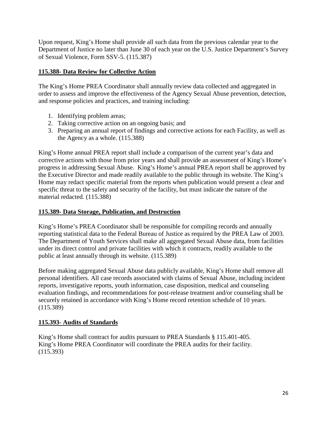Upon request, King's Home shall provide all such data from the previous calendar year to the Department of Justice no later than June 30 of each year on the U.S. Justice Department's Survey of Sexual Violence, Form SSV-5. (115.387)

#### **115.388- Data Review for Collective Action**

The King's Home PREA Coordinator shall annually review data collected and aggregated in order to assess and improve the effectiveness of the Agency Sexual Abuse prevention, detection, and response policies and practices, and training including:

- 1. Identifying problem areas;
- 2. Taking corrective action on an ongoing basis; and
- 3. Preparing an annual report of findings and corrective actions for each Facility, as well as the Agency as a whole. (115.388)

King's Home annual PREA report shall include a comparison of the current year's data and corrective actions with those from prior years and shall provide an assessment of King's Home's progress in addressing Sexual Abuse. King's Home's annual PREA report shall be approved by the Executive Director and made readily available to the public through its website. The King's Home may redact specific material from the reports when publication would present a clear and specific threat to the safety and security of the facility, but must indicate the nature of the material redacted. (115.388)

#### **115.389- Data Storage, Publication, and Destruction**

King's Home's PREA Coordinator shall be responsible for compiling records and annually reporting statistical data to the Federal Bureau of Justice as required by the PREA Law of 2003*.*  The Department of Youth Services shall make all aggregated Sexual Abuse data, from facilities under its direct control and private facilities with which it contracts, readily available to the public at least annually through its website. (115.389)

Before making aggregated Sexual Abuse data publicly available, King's Home shall remove all personal identifiers. All case records associated with claims of Sexual Abuse, including incident reports, investigative reports, youth information, case disposition, medical and counseling evaluation findings, and recommendations for post-release treatment and/or counseling shall be securely retained in accordance with King's Home record retention schedule of 10 years. (115.389)

#### **115.393- Audits of Standards**

King's Home shall contract for audits pursuant to PREA Standards § 115.401-405. King's Home PREA Coordinator will coordinate the PREA audits for their facility. (115.393)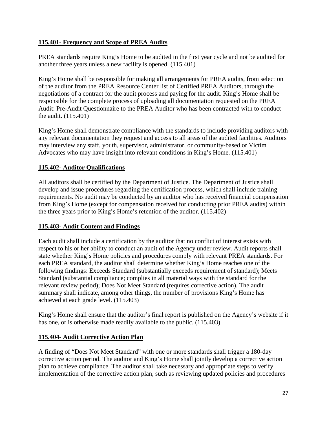#### **115.401- Frequency and Scope of PREA Audits**

PREA standards require King's Home to be audited in the first year cycle and not be audited for another three years unless a new facility is opened. (115.401)

King's Home shall be responsible for making all arrangements for PREA audits, from selection of the auditor from the PREA Resource Center list of Certified PREA Auditors, through the negotiations of a contract for the audit process and paying for the audit. King's Home shall be responsible for the complete process of uploading all documentation requested on the PREA Audit: Pre-Audit Questionnaire to the PREA Auditor who has been contracted with to conduct the audit. (115.401)

King's Home shall demonstrate compliance with the standards to include providing auditors with any relevant documentation they request and access to all areas of the audited facilities. Auditors may interview any staff, youth, supervisor, administrator, or community-based or Victim Advocates who may have insight into relevant conditions in King's Home. (115.401)

#### **115.402- Auditor Qualifications**

All auditors shall be certified by the Department of Justice. The Department of Justice shall develop and issue procedures regarding the certification process, which shall include training requirements. No audit may be conducted by an auditor who has received financial compensation from King's Home (except for compensation received for conducting prior PREA audits) within the three years prior to King's Home's retention of the auditor. (115.402)

#### **115.403- Audit Content and Findings**

Each audit shall include a certification by the auditor that no conflict of interest exists with respect to his or her ability to conduct an audit of the Agency under review. Audit reports shall state whether King's Home policies and procedures comply with relevant PREA standards. For each PREA standard, the auditor shall determine whether King's Home reaches one of the following findings: Exceeds Standard (substantially exceeds requirement of standard); Meets Standard (substantial compliance; complies in all material ways with the standard for the relevant review period); Does Not Meet Standard (requires corrective action). The audit summary shall indicate, among other things, the number of provisions King's Home has achieved at each grade level. (115.403)

King's Home shall ensure that the auditor's final report is published on the Agency's website if it has one, or is otherwise made readily available to the public. (115.403)

#### **115.404- Audit Corrective Action Plan**

A finding of "Does Not Meet Standard" with one or more standards shall trigger a 180-day corrective action period. The auditor and King's Home shall jointly develop a corrective action plan to achieve compliance. The auditor shall take necessary and appropriate steps to verify implementation of the corrective action plan, such as reviewing updated policies and procedures